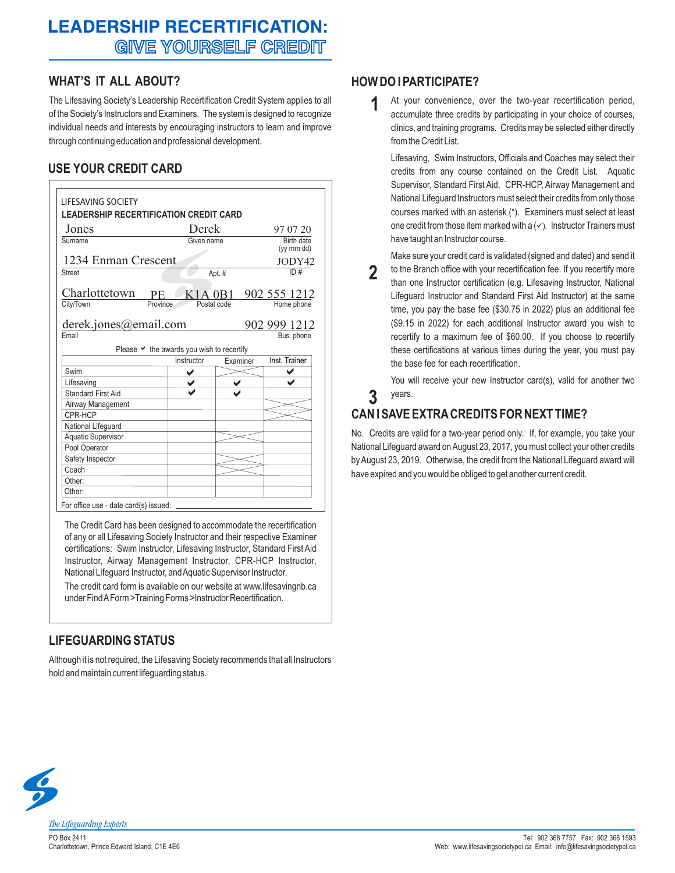# **LEADERSHIP RECERTIFICATION: GIVE YOURSELF CREDIT**

### **WHAT'S IT ALL ABOUT?**

The Lifesaving Society's Leadership Recertification Credit System applies to all of the Society's Instructors and Examiners. The system is designed to recognize individual needs and interests by encouraging instructors to learn and improve through continuing education and professional development.

## **USE YOUR CREDIT CARD**

| Jones                     | Derek                                               |             | 97 07 20      |
|---------------------------|-----------------------------------------------------|-------------|---------------|
| Surname                   | Given name                                          |             | Birth date    |
|                           |                                                     |             | (vy mm dd)    |
| 1234 Enman Crescent       |                                                     |             | JODY42        |
| Street                    |                                                     | Apt. #      | ID#           |
| Charlottetown             | K <sub>1</sub> A <sub>0</sub> B <sub>1</sub><br>PE. |             | 902 555 1212  |
| City/Town                 | Province                                            | Postal code | Home phone    |
|                           |                                                     |             |               |
| derek.jones@email.com     |                                                     |             | 902 999 1212  |
| Email                     |                                                     |             | Bus. phone    |
|                           |                                                     |             |               |
|                           | Please $\vee$ the awards you wish to recertify      |             |               |
|                           | Instructor                                          | Examiner    | Inst. Trainer |
| Swim                      |                                                     |             |               |
| Lifesaving                |                                                     |             |               |
| Standard First Aid        |                                                     |             |               |
| Airway Management         |                                                     |             |               |
| CPR-HCP                   |                                                     |             |               |
| National Lifeguard        |                                                     |             |               |
| <b>Aquatic Supervisor</b> |                                                     |             |               |
| Pool Operator             |                                                     |             |               |
| Safety Inspector          |                                                     |             |               |
| Coach                     |                                                     |             |               |
| Other:                    |                                                     |             |               |

The Credit Card has been designed to accommodate the recertification of any or all Lifesaving Society Instructor and their respective Examiner certifications: Swim Instructor, Lifesaving Instructor, Standard First Aid Instructor, Airway Management Instructor, CPR-HCP Instructor, National Lifeguard Instructor, and Aquatic Supervisor Instructor.

The credit card form is available on our website at www.lifesavingnb.ca under Find A Form > Training Forms > Instructor Recertification.

# **LIFEGUARDING STATUS**

Although it is not required, the Lifesaving Society recommends that all Instructors hold and maintain current lifeguarding status.

## **HOW DO I PARTICIPATE?**

At your convenience, over the two-year recertification period, accumulate three credits by participating in your choice of courses, clinics, and training programs. Credits may be selected either directly from the Credit List. **1**

Lifesaving, Swim Instructors, Officials and Coaches may select their credits from any course contained on the Credit List. Aquatic Supervisor, Standard First Aid, CPR-HCP, Airway Management and National Lifeguard Instructors must select their credits from only those courses marked with an asterisk (\*). Examiners must select at least one credit from those item marked with a  $(\checkmark)$ . Instructor Trainers must have taught an Instructor course.

Make sure your credit card is validated (signed and dated) and send it

to the Branch office with your recertification fee. If you recertify more than one Instructor certification (e.g. Lifesaving Instructor, National Lifeguard Instructor and Standard First Aid Instructor) at the same time, you pay the base fee (\$30.75 in 2022) plus an additional fee (\$9.15 in 2022) for each additional Instructor award you wish to recertify to a maximum fee of \$60.00. If you choose to recertify these certifications at various times during the year, you must pay the base fee for each recertification. **2**

You will receive your new Instructor card(s), valid for another two years.

# **CAN I SAVE EXTRA CREDITS FOR NEXT TIME?**

**3**

No. Credits are valid for a two-year period only. If, for example, you take your National Lifeguard award on August 23, 2017, you must collect your other credits by August 23, 2019. Otherwise, the credit from the National Lifeguard award will have expired and you would be obliged to get another current credit.



PO Box 2411 Charlottetown, Prince Edward Island, C1E 4E6 **The Lifeguarding Experts**